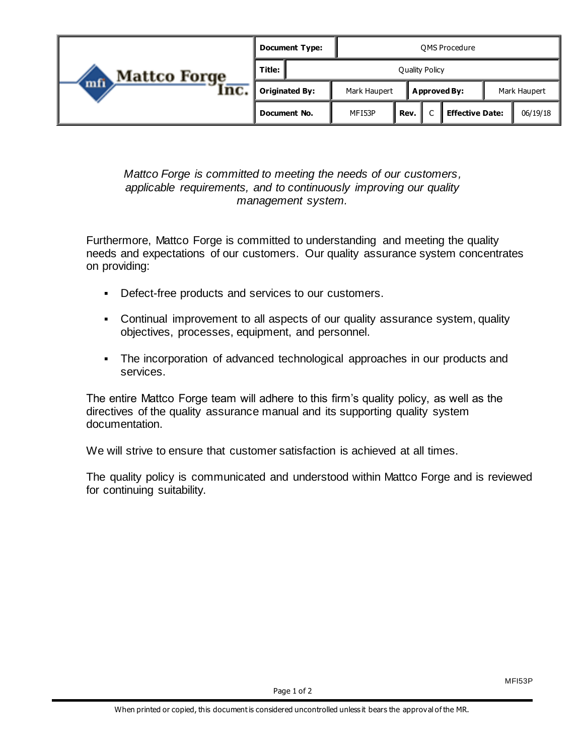| <b>Mattco Forge</b><br>mfi)<br>Inc. | <b>Document Type:</b><br><b>OMS Procedure</b> |              |                       |  |                        |              |          |  |
|-------------------------------------|-----------------------------------------------|--------------|-----------------------|--|------------------------|--------------|----------|--|
|                                     | Title:                                        |              | <b>Quality Policy</b> |  |                        |              |          |  |
|                                     | <b>Originated By:</b>                         | Mark Haupert | <b>Approved By:</b>   |  |                        | Mark Haupert |          |  |
|                                     | Document No.                                  | MFI53P       | Rev.                  |  | <b>Effective Date:</b> |              | 06/19/18 |  |

*Mattco Forge is committed to meeting the needs of our customers, applicable requirements, and to continuously improving our quality management system.*

Furthermore, Mattco Forge is committed to understanding and meeting the quality needs and expectations of our customers. Our quality assurance system concentrates on providing:

- Defect-free products and services to our customers.
- Continual improvement to all aspects of our quality assurance system, quality objectives, processes, equipment, and personnel.
- The incorporation of advanced technological approaches in our products and services.

The entire Mattco Forge team will adhere to this firm's quality policy, as well as the directives of the quality assurance manual and its supporting quality system documentation.

We will strive to ensure that customer satisfaction is achieved at all times.

The quality policy is communicated and understood within Mattco Forge and is reviewed for continuing suitability.